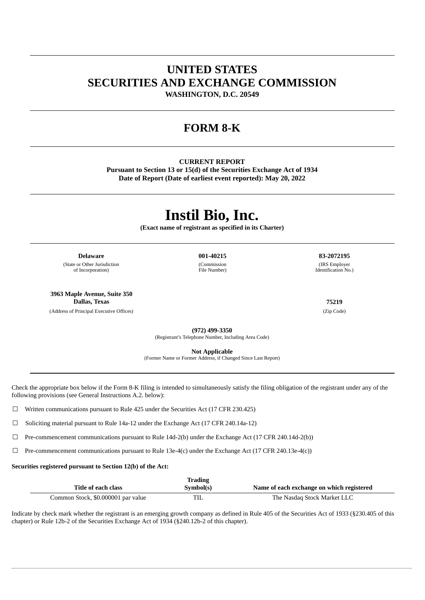## **UNITED STATES SECURITIES AND EXCHANGE COMMISSION**

**WASHINGTON, D.C. 20549**

### **FORM 8-K**

#### **CURRENT REPORT**

**Pursuant to Section 13 or 15(d) of the Securities Exchange Act of 1934 Date of Report (Date of earliest event reported): May 20, 2022**

# **Instil Bio, Inc.**

**(Exact name of registrant as specified in its Charter)**

**Delaware 001-40215 83-2072195**

(State or Other Jurisdiction of Incorporation)

**3963 Maple Avenue, Suite 350 Dallas, Texas 75219**

(Address of Principal Executive Offices) (Zip Code)

(Commission File Number)

(IRS Employer Identification No.)

**(972) 499-3350**

(Registrant's Telephone Number, Including Area Code)

**Not Applicable**

(Former Name or Former Address, if Changed Since Last Report)

Check the appropriate box below if the Form 8-K filing is intended to simultaneously satisfy the filing obligation of the registrant under any of the following provisions (see General Instructions A.2. below):

☐ Written communications pursuant to Rule 425 under the Securities Act (17 CFR 230.425)

☐ Soliciting material pursuant to Rule 14a-12 under the Exchange Act (17 CFR 240.14a-12)

 $\Box$  Pre-commencement communications pursuant to Rule 14d-2(b) under the Exchange Act (17 CFR 240.14d-2(b))

☐ Pre-commencement communications pursuant to Rule 13e-4(c) under the Exchange Act (17 CFR 240.13e-4(c))

#### **Securities registered pursuant to Section 12(b) of the Act:**

| Trading                            |           |                                           |  |  |
|------------------------------------|-----------|-------------------------------------------|--|--|
| Title of each class                | Symbol(s) | Name of each exchange on which registered |  |  |
| Common Stock, \$0,000001 par value | TIL       | The Nasdaq Stock Market LLC               |  |  |

Indicate by check mark whether the registrant is an emerging growth company as defined in Rule 405 of the Securities Act of 1933 (§230.405 of this chapter) or Rule 12b-2 of the Securities Exchange Act of 1934 (§240.12b-2 of this chapter).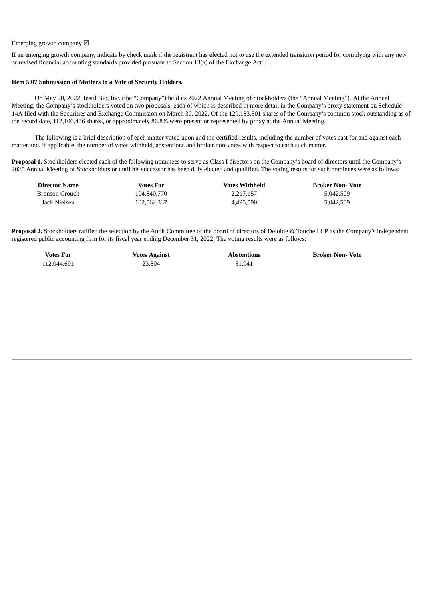#### Emerging growth company  $\boxtimes$

If an emerging growth company, indicate by check mark if the registrant has elected not to use the extended transition period for complying with any new or revised financial accounting standards provided pursuant to Section 13(a) of the Exchange Act.  $\Box$ 

#### **Item 5.07 Submission of Matters to a Vote of Security Holders.**

On May 20, 2022, Instil Bio, Inc. (the "Company") held its 2022 Annual Meeting of Stockholders (the "Annual Meeting"). At the Annual Meeting, the Company's stockholders voted on two proposals, each of which is described in more detail in the Company's proxy statement on Schedule 14A filed with the Securities and Exchange Commission on March 30, 2022. Of the 129,183,301 shares of the Company's common stock outstanding as of the record date, 112,100,436 shares, or approximately 86.8% were present or represented by proxy at the Annual Meeting.

The following is a brief description of each matter voted upon and the certified results, including the number of votes cast for and against each matter and, if applicable, the number of votes withheld, abstentions and broker non-votes with respect to each such matter.

**Proposal 1.** Stockholders elected each of the following nominees to serve as Class I directors on the Company's board of directors until the Company's 2025 Annual Meeting of Stockholders or until his successor has been duly elected and qualified. The voting results for such nominees were as follows:

| <b>Director Name</b> | Votes For   | <b>Votes Withheld</b> | <b>Broker Non- Vote</b> |
|----------------------|-------------|-----------------------|-------------------------|
| Bronson Crouch       | 104,840,770 | 2.217.157             | 5,042,509               |
| Jack Nielsen         | 102.562.337 | 4.495.590             | 5.042.509               |

**Proposal 2.** Stockholders ratified the selection by the Audit Committee of the board of directors of Deloitte & Touche LLP as the Company's independent registered public accounting firm for its fiscal year ending December 31, 2022. The voting results were as follows:

| <b>Votes For</b> | <b>Votes Against</b> | <b>Abstentions</b> | <b>Broker Non- Vote</b>  |
|------------------|----------------------|--------------------|--------------------------|
| 112,044,691      | 23.804               | 31.941             | $\overline{\phantom{a}}$ |